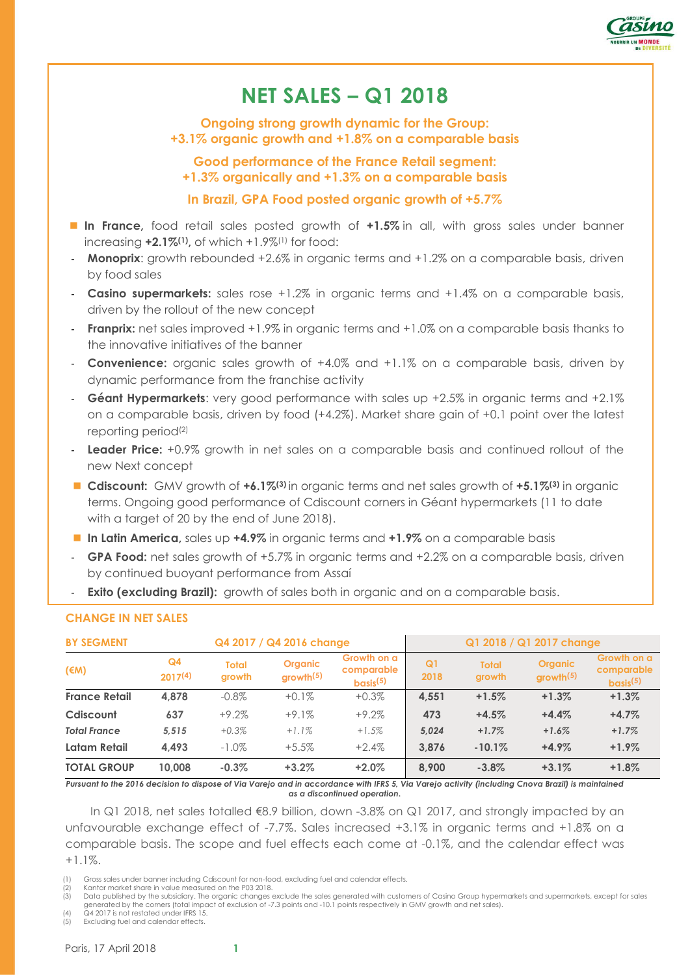

# **NET SALES – Q1 2018**

**Ongoing strong growth dynamic for the Group: +3.1% organic growth and +1.8% on a comparable basis**

**Good performance of the France Retail segment: +1.3% organically and +1.3% on a comparable basis**

# **In Brazil, GPA Food posted organic growth of +5.7%**

- In France, food retail sales posted growth of +1.5% in all, with gross sales under banner increasing **+2.1%(1) ,** of which +1.9%(1) for food:
- **Monoprix:** growth rebounded +2.6% in organic terms and +1.2% on a comparable basis, driven by food sales
- **Casino supermarkets:** sales rose +1.2% in organic terms and +1.4% on a comparable basis, driven by the rollout of the new concept
- **Franprix:** net sales improved +1.9% in organic terms and +1.0% on a comparable basis thanks to the innovative initiatives of the banner
- **Convenience:** organic sales growth of +4.0% and +1.1% on a comparable basis, driven by dynamic performance from the franchise activity
- **Géant Hypermarkets**: very good performance with sales up +2.5% in organic terms and +2.1% on a comparable basis, driven by food (+4.2%). Market share gain of +0.1 point over the latest reporting period(2)
- **Leader Price:** +0.9% growth in net sales on a comparable basis and continued rollout of the new Next concept
- **Cdiscount:** GMV growth of **+6.1%(3)** in organic terms and net sales growth of **+5.1%(3)** in organic terms. Ongoing good performance of Cdiscount corners in Géant hypermarkets (11 to date with a target of 20 by the end of June 2018).
- In Latin America, sales up +4.9% in organic terms and +1.9% on a comparable basis
- GPA Food: net sales growth of +5.7% in organic terms and +2.2% on a comparable basis, driven by continued buoyant performance from Assaí
- **Exito (excluding Brazil):** growth of sales both in organic and on a comparable basis.

| Q4 2017 / Q4 2016 change<br><b>BY SEGMENT</b> |                                |                        |                                         | Q1 2018 / Q1 2017 change                          |                        |                        |                                         |                                                   |
|-----------------------------------------------|--------------------------------|------------------------|-----------------------------------------|---------------------------------------------------|------------------------|------------------------|-----------------------------------------|---------------------------------------------------|
| $(\epsilon M)$                                | Q <sub>4</sub><br>$2017^{(4)}$ | <b>Total</b><br>growth | <b>Organic</b><br>growth <sup>(5)</sup> | Growth on a<br>comparable<br>basis <sup>(5)</sup> | Q <sub>1</sub><br>2018 | <b>Total</b><br>growth | <b>Organic</b><br>growth <sup>(5)</sup> | Growth on a<br>comparable<br>basis <sup>(5)</sup> |
| <b>France Retail</b>                          | 4,878                          | $-0.8\%$               | $+0.1%$                                 | $+0.3%$                                           | 4.551                  | $+1.5%$                | $+1.3%$                                 | $+1.3%$                                           |
| Cdiscount                                     | 637                            | $+9.2%$                | $+9.1%$                                 | $+9.2%$                                           | 473                    | $+4.5%$                | $+4.4%$                                 | $+4.7%$                                           |
| <b>Total France</b>                           | 5.515                          | $+0.3%$                | $+1.1%$                                 | $+1.5%$                                           | 5.024                  | $+1.7%$                | $+1.6%$                                 | $+1.7%$                                           |
| Latam Retail                                  | 4.493                          | $-1.0\%$               | $+5.5%$                                 | $+2.4%$                                           | 3.876                  | $-10.1%$               | $+4.9\%$                                | $+1.9%$                                           |
| <b>TOTAL GROUP</b>                            | 10.008                         | $-0.3%$                | $+3.2%$                                 | $+2.0\%$                                          | 8.900                  | $-3.8\%$               | $+3.1%$                                 | $+1.8\%$                                          |

# **CHANGE IN NET SALES**

*Pursuant to the 2016 decision to dispose of Via Varejo and in accordance with IFRS 5, Via Varejo activity (including Cnova Brazil) is maintained as a discontinued operation***.**

In Q1 2018, net sales totalled €8.9 billion, down -3.8% on Q1 2017, and strongly impacted by an unfavourable exchange effect of -7.7%. Sales increased +3.1% in organic terms and +1.8% on a comparable basis. The scope and fuel effects each come at -0.1%, and the calendar effect was +1.1%.

(4) Q4 2017 is not restated under IFRS 15.

Excluding fuel and calendar effects.

Gross sales under banner including Cdiscount for non-food, excluding fuel and calendar effects.

Kantar market share in value measured on the P03 2018.

<sup>(3)</sup> Data published by the subsidiary. The organic changes exclude the sales generated with customers of Casino Group hypermarkets and supermarkets, except for sales generated by the corners (total impact of exclusion of -7.3 points and -10.1 points respectively in GMV growth and net sales).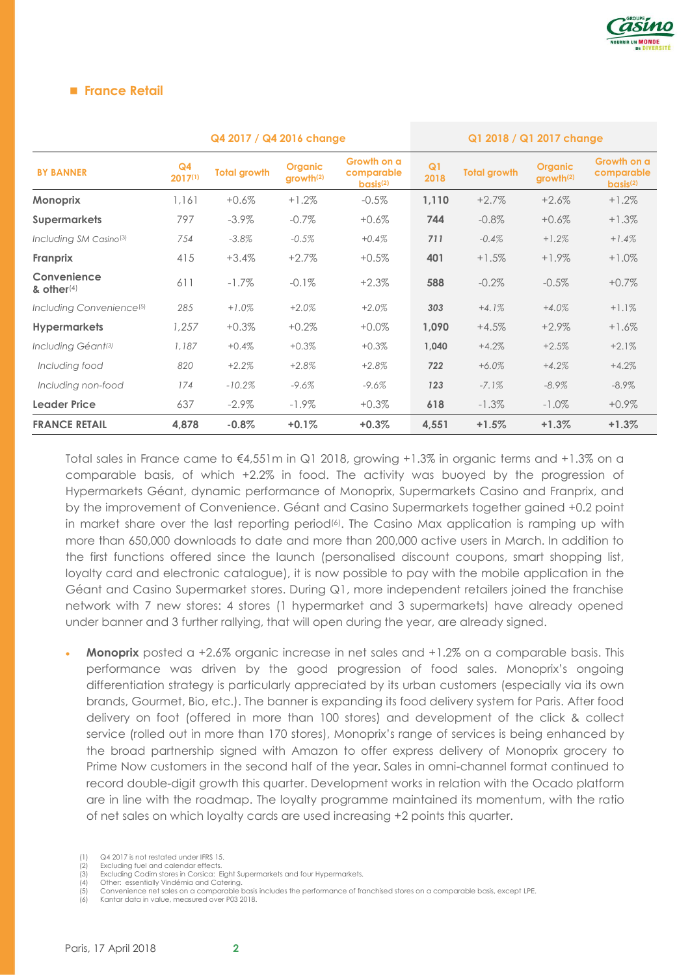

#### **France Retail**

| Q4 2017 / Q4 2016 change             |                           |                     |                                         |                                                   | Q1 2018 / Q1 2017 change |                     |                                         |                                                   |
|--------------------------------------|---------------------------|---------------------|-----------------------------------------|---------------------------------------------------|--------------------------|---------------------|-----------------------------------------|---------------------------------------------------|
| <b>BY BANNER</b>                     | Q <sub>4</sub><br>2017(1) | <b>Total growth</b> | <b>Organic</b><br>growth <sup>(2)</sup> | Growth on a<br>comparable<br>basis <sup>(2)</sup> | Q <sub>1</sub><br>2018   | <b>Total growth</b> | <b>Organic</b><br>growth <sup>(2)</sup> | Growth on a<br>comparable<br>basis <sup>(2)</sup> |
| <b>Monoprix</b>                      | 1,161                     | $+0.6%$             | $+1.2\%$                                | $-0.5%$                                           | 1,110                    | $+2.7%$             | $+2.6%$                                 | $+1.2%$                                           |
| <b>Supermarkets</b>                  | 797                       | $-3.9\%$            | $-0.7\%$                                | $+0.6%$                                           | 744                      | $-0.8%$             | $+0.6%$                                 | $+1.3%$                                           |
| Including SM Casino <sup>(3)</sup>   | 754                       | $-3.8\%$            | $-0.5%$                                 | $+0.4%$                                           | 711                      | $-0.4%$             | $+1.2%$                                 | $+1.4%$                                           |
| Franprix                             | 415                       | $+3.4%$             | $+2.7%$                                 | $+0.5%$                                           | 401                      | $+1.5%$             | $+1.9\%$                                | $+1.0%$                                           |
| Convenience<br>& other $(4)$         | 611                       | $-1.7\%$            | $-0.1\%$                                | $+2.3%$                                           | 588                      | $-0.2\%$            | $-0.5\%$                                | $+0.7%$                                           |
| Including Convenience <sup>(5)</sup> | 285                       | $+1.0%$             | $+2.0%$                                 | $+2.0%$                                           | 303                      | $+4.1%$             | $+4.0%$                                 | $+1.1%$                                           |
| <b>Hypermarkets</b>                  | 1.257                     | $+0.3%$             | $+0.2%$                                 | $+0.0\%$                                          | 1.090                    | $+4.5%$             | $+2.9\%$                                | $+1.6\%$                                          |
| Including Géant <sup>(3)</sup>       | 1,187                     | $+0.4%$             | $+0.3%$                                 | $+0.3%$                                           | 1,040                    | $+4.2%$             | $+2.5%$                                 | $+2.1%$                                           |
| Including food                       | 820                       | $+2.2%$             | $+2.8%$                                 | $+2.8%$                                           | 722                      | $+6.0%$             | $+4.2%$                                 | $+4.2%$                                           |
| Including non-food                   | 174                       | $-10.2%$            | $-9.6%$                                 | $-9.6%$                                           | 123                      | $-7.1%$             | $-8.9\%$                                | $-8.9\%$                                          |
| <b>Leader Price</b>                  | 637                       | $-2.9\%$            | $-1.9\%$                                | $+0.3%$                                           | 618                      | $-1.3\%$            | $-1.0\%$                                | $+0.9\%$                                          |
| <b>FRANCE RETAIL</b>                 | 4,878                     | $-0.8%$             | $+0.1%$                                 | $+0.3%$                                           | 4,551                    | $+1.5%$             | $+1.3%$                                 | $+1.3%$                                           |

Total sales in France came to €4,551m in Q1 2018, growing +1.3% in organic terms and +1.3% on a comparable basis, of which +2.2% in food. The activity was buoyed by the progression of Hypermarkets Géant, dynamic performance of Monoprix, Supermarkets Casino and Franprix, and by the improvement of Convenience. Géant and Casino Supermarkets together gained +0.2 point in market share over the last reporting period<sup>(6)</sup>. The Casino Max application is ramping up with more than 650,000 downloads to date and more than 200,000 active users in March. In addition to the first functions offered since the launch (personalised discount coupons, smart shopping list, loyalty card and electronic catalogue), it is now possible to pay with the mobile application in the Géant and Casino Supermarket stores. During Q1, more independent retailers joined the franchise network with 7 new stores: 4 stores (1 hypermarket and 3 supermarkets) have already opened under banner and 3 further rallying, that will open during the year, are already signed.

**Monoprix** posted a +2.6% organic increase in net sales and +1.2% on a comparable basis. This performance was driven by the good progression of food sales. Monoprix's ongoing differentiation strategy is particularly appreciated by its urban customers (especially via its own brands, Gourmet, Bio, etc.). The banner is expanding its food delivery system for Paris. After food delivery on foot (offered in more than 100 stores) and development of the click & collect service (rolled out in more than 170 stores), Monoprix's range of services is being enhanced by the broad partnership signed with Amazon to offer express delivery of Monoprix grocery to Prime Now customers in the second half of the year. Sales in omni-channel format continued to record double-digit growth this quarter. Development works in relation with the Ocado platform are in line with the roadmap. The loyalty programme maintained its momentum, with the ratio of net sales on which loyalty cards are used increasing +2 points this quarter.

(2) Excluding fuel and calendar effects.<br>(3) Excluding Codim stores in Corsica: E

<sup>(1)</sup> Q4 2017 is not restated under IFRS 15.

Excluding Codim stores in Corsica: Eight Supermarkets and four Hypermarkets.

<sup>(4)</sup> Other: essentially Vindémia and Catering. (5) Convenience net sales on a comparable basis includes the performance of franchised stores on a comparable basis, except LPE.

Kantar data in value, measured over P03 2018.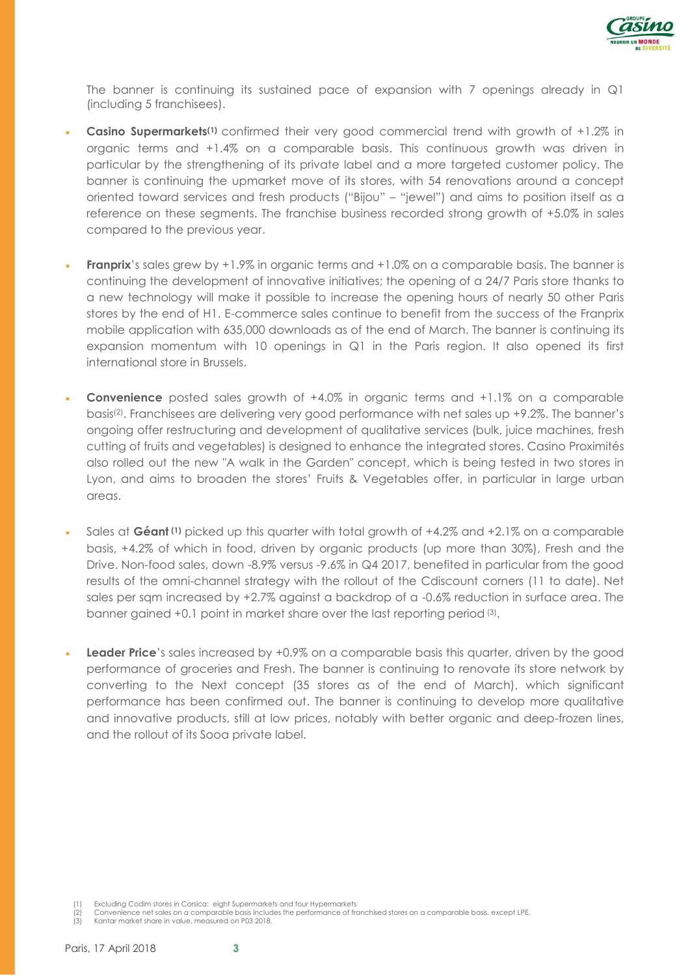

The banner is continuing its sustained pace of expansion with 7 openings already in Q1 (including 5 franchisees).

- **Casino Supermarkets(1)** confirmed their very good commercial trend with growth of +1.2% in organic terms and +1.4% on a comparable basis. This continuous growth was driven in particular by the strengthening of its private label and a more targeted customer policy. The banner is continuing the upmarket move of its stores, with 54 renovations around a concept oriented toward services and fresh products ("Bijou" – "jewel") and aims to position itself as a reference on these segments. The franchise business recorded strong growth of +5.0% in sales compared to the previous year.
- **Franprix**'s sales grew by +1.9% in organic terms and +1.0% on a comparable basis. The banner is continuing the development of innovative initiatives; the opening of a 24/7 Paris store thanks to a new technology will make it possible to increase the opening hours of nearly 50 other Paris stores by the end of H1. E-commerce sales continue to benefit from the success of the Franprix mobile application with 635,000 downloads as of the end of March. The banner is continuing its expansion momentum with 10 openings in Q1 in the Paris region. It also opened its first international store in Brussels.
- **Convenience** posted sales growth of +4.0% in organic terms and +1.1% on a comparable basis(2) . Franchisees are delivering very good performance with net sales up +9.2%. The banner's ongoing offer restructuring and development of qualitative services (bulk, juice machines, fresh cutting of fruits and vegetables) is designed to enhance the integrated stores. Casino Proximités also rolled out the new "A walk in the Garden" concept, which is being tested in two stores in Lyon, and aims to broaden the stores' Fruits & Vegetables offer, in particular in large urban areas.
- Sales at **Géant (1)** picked up this quarter with total growth of +4.2% and +2.1% on a comparable basis, +4.2% of which in food, driven by organic products (up more than 30%), Fresh and the Drive. Non-food sales, down -8.9% versus -9.6% in Q4 2017, benefited in particular from the good results of the omni-channel strategy with the rollout of the Cdiscount corners (11 to date). Net sales per sqm increased by +2.7% against a backdrop of a -0.6% reduction in surface area. The banner gained +0.1 point in market share over the last reporting period<sup>(3)</sup>.
- **Leader Price**'s sales increased by +0.9% on a comparable basis this quarter, driven by the good performance of groceries and Fresh. The banner is continuing to renovate its store network by converting to the Next concept (35 stores as of the end of March), which significant performance has been confirmed out. The banner is continuing to develop more qualitative and innovative products, still at low prices, notably with better organic and deep-frozen lines, and the rollout of its Sooa private label.

- (2) Convenience net sales on a comparable basis includes the performance of franchised stores on a comparable basis, except LPE.
- (3) Kantar market share in value, measured on P03 2018.

Excluding Codim stores in Corsica: eight Supermarkets and four Hypermarkets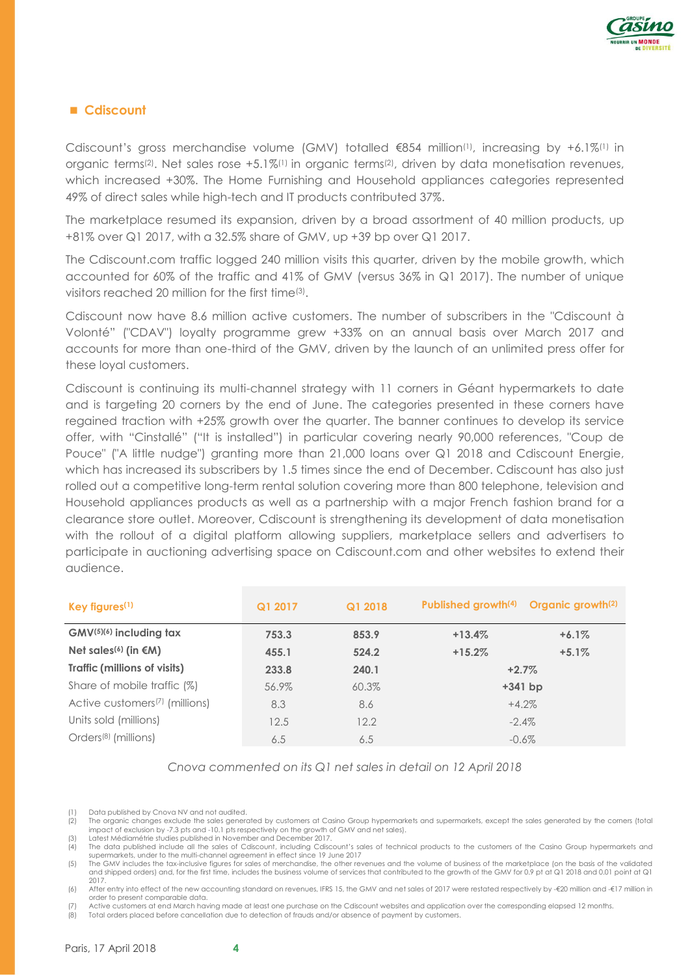

## **Cdiscount**

Cdiscount's gross merchandise volume (GMV) totalled  $\epsilon$ 854 million<sup>(1)</sup>, increasing by +6.1%<sup>(1)</sup> in organic terms<sup>(2)</sup>. Net sales rose +5.1%<sup>(1)</sup> in organic terms<sup>(2)</sup>, driven by data monetisation revenues, which increased +30%. The Home Furnishing and Household appliances categories represented 49% of direct sales while high-tech and IT products contributed 37%.

The marketplace resumed its expansion, driven by a broad assortment of 40 million products, up +81% over Q1 2017, with a 32.5% share of GMV, up +39 bp over Q1 2017.

The Cdiscount.com traffic logged 240 million visits this quarter, driven by the mobile growth, which accounted for 60% of the traffic and 41% of GMV (versus 36% in Q1 2017). The number of unique visitors reached 20 million for the first time<sup>(3)</sup>.

Cdiscount now have 8.6 million active customers. The number of subscribers in the "Cdiscount à Volonté" ("CDAV") loyalty programme grew +33% on an annual basis over March 2017 and accounts for more than one-third of the GMV, driven by the launch of an unlimited press offer for these loyal customers.

Cdiscount is continuing its multi-channel strategy with 11 corners in Géant hypermarkets to date and is targeting 20 corners by the end of June. The categories presented in these corners have regained traction with +25% growth over the quarter. The banner continues to develop its service offer, with "Cinstallé" ("It is installed") in particular covering nearly 90,000 references, "Coup de Pouce" ("A little nudge") granting more than 21,000 loans over Q1 2018 and Cdiscount Energie, which has increased its subscribers by 1.5 times since the end of December. Cdiscount has also just rolled out a competitive long-term rental solution covering more than 800 telephone, television and Household appliances products as well as a partnership with a major French fashion brand for a clearance store outlet. Moreover, Cdiscount is strengthening its development of data monetisation with the rollout of a digital platform allowing suppliers, marketplace sellers and advertisers to participate in auctioning advertising space on Cdiscount.com and other websites to extend their audience.

| Key figures <sup>(1)</sup>                 | Q1 2018<br>Q1 2017 |       | Published growth <sup>(4)</sup> | Organic growth <sup>(2)</sup> |
|--------------------------------------------|--------------------|-------|---------------------------------|-------------------------------|
| $GMV^{(5)(6)}$ including tax               | 753.3              | 853.9 | $+13.4%$<br>$+6.1%$             |                               |
| Net sales <sup>(6)</sup> (in $\notin M$ )  | 455.1              | 524.2 | $+15.2%$                        | $+5.1%$                       |
| Traffic (millions of visits)               | 233.8              | 240.1 | $+2.7%$                         |                               |
| Share of mobile traffic (%)                | 56.9%              | 60.3% | $+341$ bp                       |                               |
| Active customers <sup>(7)</sup> (millions) | 8.3                | 8.6   | $+4.2%$                         |                               |
| Units sold (millions)                      | 12.5               | 12.2  | $-2.4\%$                        |                               |
| Orders <sup>(8)</sup> (millions)           | 6.5                | 6.5   | $-0.6\%$                        |                               |

*Cnova commented on its Q1 net sales in detail on 12 April 2018*

Data published by Cnova NV and not audited.

(2) The organic changes exclude the sales generated by customers at Casino Group hypermarkets and supermarkets, except the sales generated by the corners (total impact of exclusion by -7.3 pts and -10.1 pts respectively on the growth of GMV and net sales). (3) Latest Médiamétrie studies published in November and December 2017.

(5) The GMV includes the tax-inclusive figures for sales of merchandise, the other revenues and the volume of business of the marketplace (on the basis of the validated and shipped orders) and, for the first time, includes the business volume of services that contributed to the growth of the GMV for 0.9 pt at Q1 2018 and 0.01 point at Q1  $2017$ 

(6) After entry into effect of the new accounting standard on revenues, IFRS 15, the GMV and net sales of 2017 were restated respectively by -€20 million and -€17 million in order to present comparable data.

Active customers at end March having made at least one purchase on the Cdiscount websites and application over the corresponding elapsed 12 months.

(8) Total orders placed before cancellation due to detection of frauds and/or absence of payment by customers.

<sup>(4)</sup> The data published include all the sales of Cdiscount, including Cdiscount's sales of technical products to the customers of the Casino Group hypermarkets and supermarkets, under to the multi-channel agreement in effect since 19 June 2017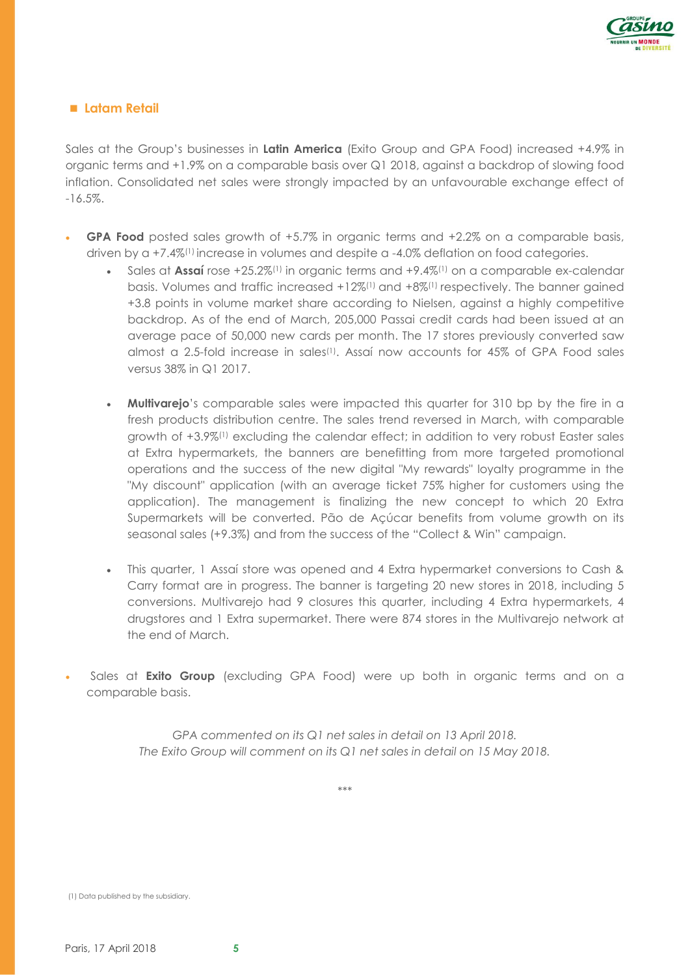

## **Latam Retail**

Sales at the Group's businesses in **Latin America** (Exito Group and GPA Food) increased +4.9% in organic terms and +1.9% on a comparable basis over Q1 2018, against a backdrop of slowing food inflation. Consolidated net sales were strongly impacted by an unfavourable exchange effect of -16.5%.

- **GPA Food** posted sales growth of +5.7% in organic terms and +2.2% on a comparable basis, driven by a +7.4%<sup>(1)</sup> increase in volumes and despite a -4.0% deflation on food categories.
	- Sales at **Assaí** rose +25.2%(1) in organic terms and +9.4%(1) on a comparable ex-calendar basis. Volumes and traffic increased +12%(1) and +8%(1) respectively. The banner gained +3.8 points in volume market share according to Nielsen, against a highly competitive backdrop. As of the end of March, 205,000 Passai credit cards had been issued at an average pace of 50,000 new cards per month. The 17 stores previously converted saw almost a 2.5-fold increase in sales(1). Assaí now accounts for 45% of GPA Food sales versus 38% in Q1 2017.
	- **Multivarejo**'s comparable sales were impacted this quarter for 310 bp by the fire in a fresh products distribution centre. The sales trend reversed in March, with comparable growth of +3.9%(1) excluding the calendar effect; in addition to very robust Easter sales at Extra hypermarkets, the banners are benefitting from more targeted promotional operations and the success of the new digital "My rewards" loyalty programme in the "My discount" application (with an average ticket 75% higher for customers using the application). The management is finalizing the new concept to which 20 Extra Supermarkets will be converted. Pão de Açúcar benefits from volume growth on its seasonal sales (+9.3%) and from the success of the "Collect & Win" campaign.
	- This quarter, 1 Assaí store was opened and 4 Extra hypermarket conversions to Cash & Carry format are in progress. The banner is targeting 20 new stores in 2018, including 5 conversions. Multivarejo had 9 closures this quarter, including 4 Extra hypermarkets, 4 drugstores and 1 Extra supermarket. There were 874 stores in the Multivarejo network at the end of March.
- Sales at **Exito Group** (excluding GPA Food) were up both in organic terms and on a comparable basis.

*GPA commented on its Q1 net sales in detail on 13 April 2018. The Exito Group will comment on its Q1 net sales in detail on 15 May 2018.*

*\*\*\**

(1) Data published by the subsidiary.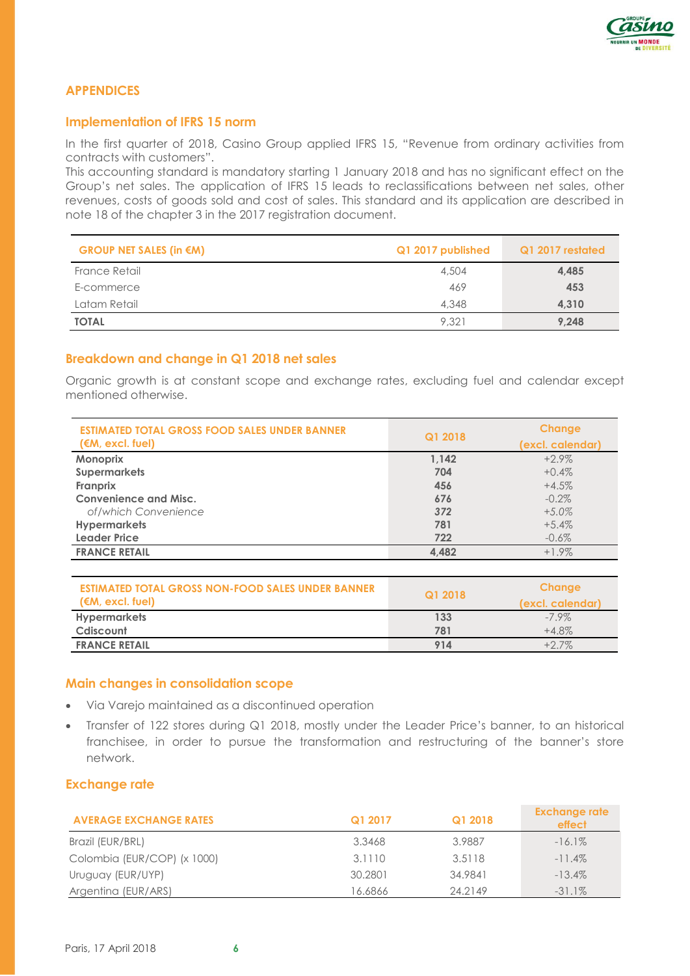

# **APPENDICES**

## **Implementation of IFRS 15 norm**

In the first quarter of 2018, Casino Group applied IFRS 15, "Revenue from ordinary activities from contracts with customers".

This accounting standard is mandatory starting 1 January 2018 and has no significant effect on the Group's net sales. The application of IFRS 15 leads to reclassifications between net sales, other revenues, costs of goods sold and cost of sales. This standard and its application are described in note 18 of the chapter 3 in the 2017 registration document.

| GROUP NET SALES (in $\notin M$ ) | Q1 2017 published | Q1 2017 restated |
|----------------------------------|-------------------|------------------|
| France Retail                    | 4,504             | 4,485            |
| E-commerce                       | 469               | 453              |
| Latam Retail                     | 4,348             | 4.310            |
| <b>TOTAL</b>                     | 9,321             | 9,248            |

# **Breakdown and change in Q1 2018 net sales**

Organic growth is at constant scope and exchange rates, excluding fuel and calendar except mentioned otherwise.

| <b>ESTIMATED TOTAL GROSS FOOD SALES UNDER BANNER</b><br>(M, exc, true) | Q1 2018 | <b>Change</b><br>(excl. calendar) |  |
|------------------------------------------------------------------------|---------|-----------------------------------|--|
| Monoprix                                                               | 1.142   | $+2.9\%$                          |  |
| <b>Supermarkets</b>                                                    | 704     | $+0.4%$                           |  |
| Franprix                                                               | 456     | $+4.5%$                           |  |
| <b>Convenience and Misc.</b>                                           | 676     | $-0.2\%$                          |  |
| of/which Convenience                                                   | 372     | $+5.0\%$                          |  |
| <b>Hypermarkets</b>                                                    | 781     | $+5.4\%$                          |  |
| <b>Leader Price</b>                                                    | 722     | $-0.6\%$                          |  |
| <b>FRANCE RETAIL</b>                                                   | 4,482   | $+1.9\%$                          |  |

| <b>ESTIMATED TOTAL GROSS NON-FOOD SALES UNDER BANNER</b> | Q1 2018 | Change           |  |
|----------------------------------------------------------|---------|------------------|--|
| $(M, \, \text{excl.} \, \text{fuel})$                    |         | (excl. calendar) |  |
| <b>Hypermarkets</b>                                      | 133     | $-7.9\%$         |  |
| Cdiscount                                                | 781     | $+4.8\%$         |  |
| <b>FRANCE RETAIL</b>                                     | 914     | $+2.7\%$         |  |

#### **Main changes in consolidation scope**

- Via Varejo maintained as a discontinued operation
- Transfer of 122 stores during Q1 2018, mostly under the Leader Price's banner, to an historical franchisee, in order to pursue the transformation and restructuring of the banner's store network.

#### **Exchange rate**

| <b>AVERAGE EXCHANGE RATES</b> | Q1 2017 | Q1 2018 | <b>Exchange rate</b><br><b>effect</b> |
|-------------------------------|---------|---------|---------------------------------------|
| Brazil (EUR/BRL)              | 3.3468  | 3.9887  | $-16.1\%$                             |
| Colombia (EUR/COP) (x 1000)   | 3.1110  | 3.5118  | $-11.4\%$                             |
| Uruguay (EUR/UYP)             | 30.2801 | 34.9841 | $-13.4\%$                             |
| Argentina (EUR/ARS)           | 16.6866 | 24.2149 | $-31.1\%$                             |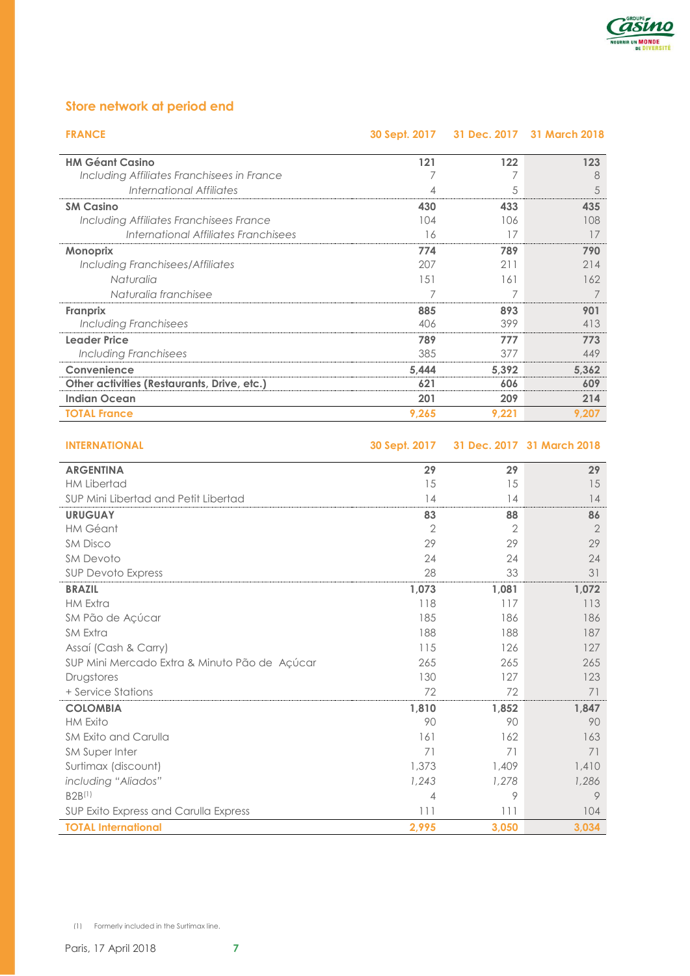

# **Store network at period end**

| <b>FRANCE</b>                               | <b>30 Sept. 2017</b> |       | 31 Dec. 2017 31 March 2018 |
|---------------------------------------------|----------------------|-------|----------------------------|
| <b>HM Géant Casino</b>                      | 121                  | 122   | 123                        |
| Including Affiliates Franchisees in France  |                      |       | 8                          |
| International Affiliates                    | 4                    | 5     | 5                          |
| <b>SM Casino</b>                            | 430                  | 433   | 435                        |
| Including Affiliates Franchisees France     | 104                  | 106   | 108                        |
| International Affiliates Franchisees        | 16                   | 17    | 17                         |
| <b>Monoprix</b>                             | 774                  | 789   | 790                        |
| Including Franchisees/Affiliates            | 207                  | 211   | 214                        |
| Naturalia                                   | 151                  | 161   | 162                        |
| Naturalia franchisee                        |                      | 7     | 7                          |
| <b>Franprix</b>                             | 885                  | 893   | 901                        |
| Including Franchisees                       | 406                  | 399   | 413                        |
| <b>Leader Price</b>                         | 789                  | 777   | 773                        |
| <b>Including Franchisees</b>                | 385                  | 377   | 449                        |
| Convenience                                 | 5,444                | 5,392 | 5,362                      |
| Other activities (Restaurants, Drive, etc.) | 621                  | 606   | 609                        |
| <b>Indian Ocean</b>                         | 201                  | 209   | 214                        |
| <b>TOTAL France</b>                         | 9,265                | 9,221 | 9,207                      |

**INTERNATIONAL 30 Sept. 2017 31 Dec. 2017 31 March 2018**

| <b>ARGENTINA</b>                              | 29    | 29             | 29             |
|-----------------------------------------------|-------|----------------|----------------|
| <b>HM Libertad</b>                            | 15    | 15             | 15             |
| SUP Mini Libertad and Petit Libertad          | 14    | 14             | 14             |
| <b>URUGUAY</b>                                | 83    | 88             | 86             |
| <b>HM Géant</b>                               | 2     | $\overline{2}$ | $\overline{2}$ |
| <b>SM Disco</b>                               | 29    | 29             | 29             |
| <b>SM Devoto</b>                              | 24    | 24             | 24             |
| SUP Devoto Express                            | 28    | 33             | 31             |
| <b>BRAZIL</b>                                 | 1,073 | 1,081          | 1,072          |
| <b>HM Extra</b>                               | 118   | 117            | 113            |
| SM Pão de Açúcar                              | 185   | 186            | 186            |
| <b>SM Extra</b>                               | 188   | 188            | 187            |
| Assaí (Cash & Carry)                          | 115   | 126            | 127            |
| SUP Mini Mercado Extra & Minuto Pão de Açúcar | 265   | 265            | 265            |
| Drugstores                                    | 130   | 127            | 123            |
| + Service Stations                            | 72    | 72             | 71             |
| <b>COLOMBIA</b>                               | 1,810 | 1,852          | 1,847          |
| <b>HM Exito</b>                               | 90    | 90             | 90             |
| SM Exito and Carulla                          | 161   | 162            | 163            |
| SM Super Inter                                | 71    | 71             | 71             |
| Surtimax (discount)                           | 1,373 | 1,409          | 1,410          |
| including "Aliados"                           | 1,243 | 1,278          | 1,286          |
| B2B(1)                                        | 4     | 9              | 9              |
| SUP Exito Express and Carulla Express         | 111   | 111            | 104            |
| <b>TOTAL International</b>                    | 2,995 | 3,050          | 3,034          |